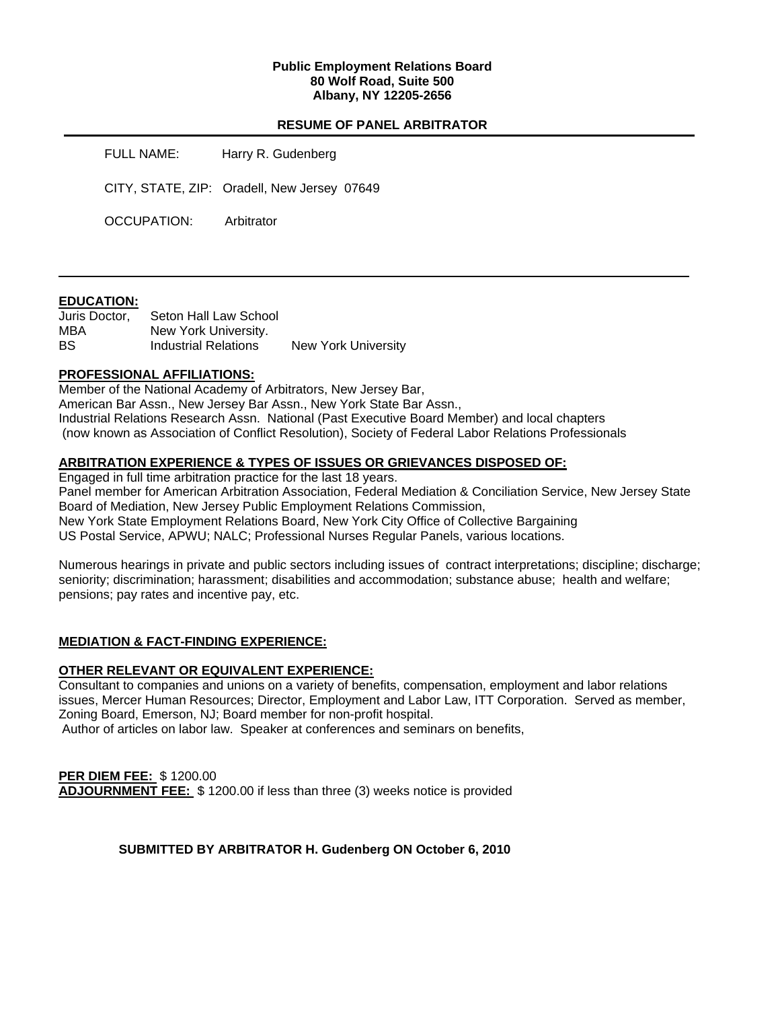## **Public Employment Relations Board 80 Wolf Road, Suite 500 Albany, NY 12205-2656**

# **RESUME OF PANEL ARBITRATOR**

FULL NAME: Harry R. Gudenberg

CITY, STATE, ZIP: Oradell, New Jersey 07649

OCCUPATION: Arbitrator

## **EDUCATION:**

| Juris Doctor, | Seton Hall Law School |                     |
|---------------|-----------------------|---------------------|
| MBA           | New York University.  |                     |
| BS            | Industrial Relations  | New York University |

## **PROFESSIONAL AFFILIATIONS:**

Member of the National Academy of Arbitrators, New Jersey Bar, American Bar Assn., New Jersey Bar Assn., New York State Bar Assn., Industrial Relations Research Assn. National (Past Executive Board Member) and local chapters (now known as Association of Conflict Resolution), Society of Federal Labor Relations Professionals

# **ARBITRATION EXPERIENCE & TYPES OF ISSUES OR GRIEVANCES DISPOSED OF:**

Engaged in full time arbitration practice for the last 18 years. Panel member for American Arbitration Association, Federal Mediation & Conciliation Service, New Jersey State Board of Mediation, New Jersey Public Employment Relations Commission, New York State Employment Relations Board, New York City Office of Collective Bargaining US Postal Service, APWU; NALC; Professional Nurses Regular Panels, various locations.

Numerous hearings in private and public sectors including issues of contract interpretations; discipline; discharge; seniority; discrimination; harassment; disabilities and accommodation; substance abuse; health and welfare; pensions; pay rates and incentive pay, etc.

## **MEDIATION & FACT-FINDING EXPERIENCE:**

## **OTHER RELEVANT OR EQUIVALENT EXPERIENCE:**

Consultant to companies and unions on a variety of benefits, compensation, employment and labor relations issues, Mercer Human Resources; Director, Employment and Labor Law, ITT Corporation. Served as member, Zoning Board, Emerson, NJ; Board member for non-profit hospital.

Author of articles on labor law. Speaker at conferences and seminars on benefits,

**PER DIEM FEE:** \$ 1200.00 **ADJOURNMENT FEE:** \$ 1200.00 if less than three (3) weeks notice is provided

## **SUBMITTED BY ARBITRATOR H. Gudenberg ON October 6, 2010**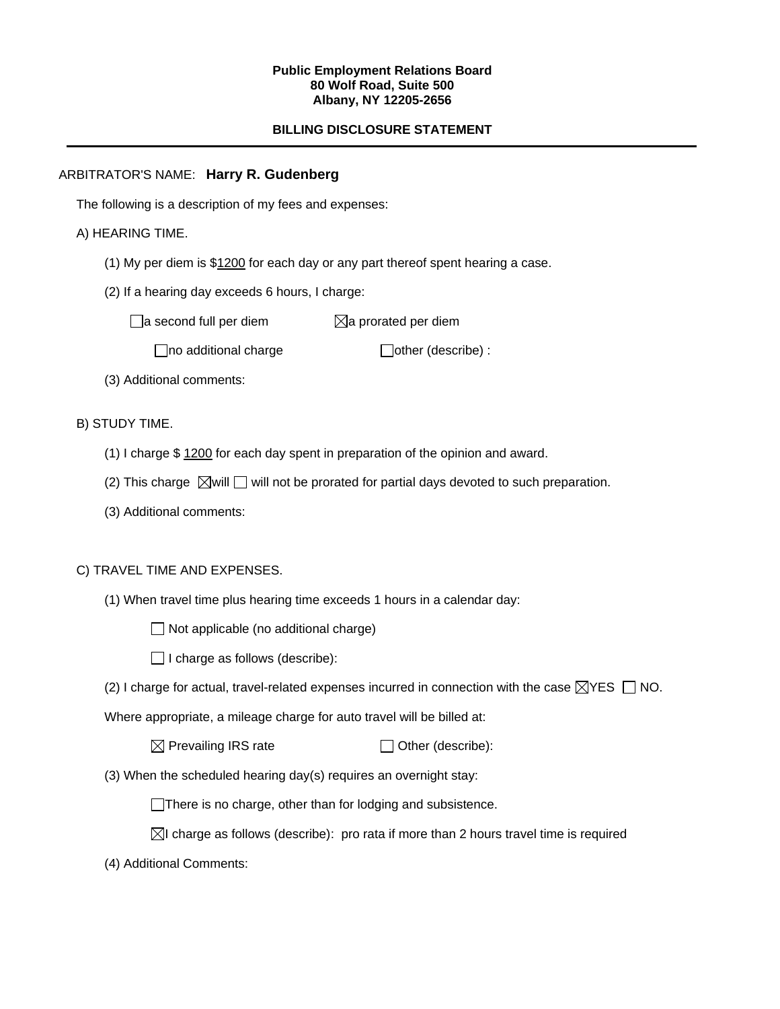#### **Public Employment Relations Board 80 Wolf Road, Suite 500 Albany, NY 12205-2656**

# **BILLING DISCLOSURE STATEMENT**

# ARBITRATOR'S NAME: **Harry R. Gudenberg**

The following is a description of my fees and expenses:

## A) HEARING TIME.

- (1) My per diem is \$1200 for each day or any part thereof spent hearing a case.
- (2) If a hearing day exceeds 6 hours, I charge:

 $\Box$ a second full per diem  $\boxtimes$ a prorated per diem

 $\Box$ no additional charge  $\Box$ other (describe) :

(3) Additional comments:

B) STUDY TIME.

- (1) I charge \$ 1200 for each day spent in preparation of the opinion and award.
- (2) This charge  $\boxtimes$  will  $\Box$  will not be prorated for partial days devoted to such preparation.
- (3) Additional comments:

## C) TRAVEL TIME AND EXPENSES.

- (1) When travel time plus hearing time exceeds 1 hours in a calendar day:
	- $\Box$  Not applicable (no additional charge)
	- $\Box$  I charge as follows (describe):
- (2) I charge for actual, travel-related expenses incurred in connection with the case  $\boxtimes$ YES  $\Box$  NO.

Where appropriate, a mileage charge for auto travel will be billed at:

| $\boxtimes$ Prevailing IRS rate | $\Box$ Other (describe): |
|---------------------------------|--------------------------|
|---------------------------------|--------------------------|

(3) When the scheduled hearing day(s) requires an overnight stay:

There is no charge, other than for lodging and subsistence.

- $\boxtimes$ I charge as follows (describe): pro rata if more than 2 hours travel time is required
- (4) Additional Comments: